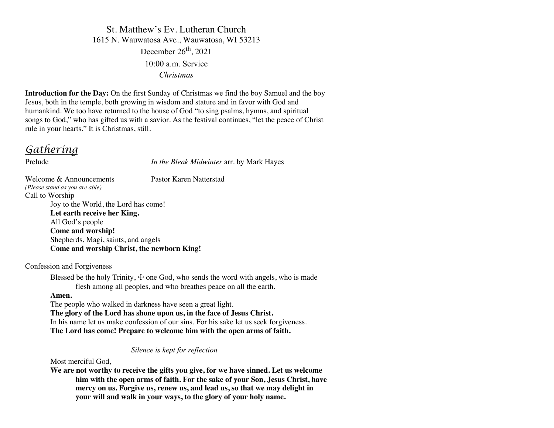St. Matthew's Ev. Lutheran Church 1615 N. Wauwatosa Ave., Wauwatosa, WI 53213 December 26<sup>th</sup>, 2021 10:00 a.m. Service *Christmas*

**Introduction for the Day:** On the first Sunday of Christmas we find the boy Samuel and the boy Jesus, both in the temple, both growing in wisdom and stature and in favor with God and humankind. We too have returned to the house of God "to sing psalms, hymns, and spiritual songs to God," who has gifted us with a savior. As the festival continues, "let the peace of Christ rule in your hearts." It is Christmas, still.

*Gathering*

Prelude *In the Bleak Midwinter* arr. by Mark Hayes

Welcome & Announcements Pastor Karen Natterstad *(Please stand as you are able)* Call to Worship Joy to the World, the Lord has come! **Let earth receive her King.** All God's people **Come and worship!** Shepherds, Magi, saints, and angels **Come and worship Christ, the newborn King!**

Confession and Forgiveness

Blessed be the holy Trinity,  $\pm$  one God, who sends the word with angels, who is made flesh among all peoples, and who breathes peace on all the earth.

#### **Amen.**

The people who walked in darkness have seen a great light.

**The glory of the Lord has shone upon us, in the face of Jesus Christ.** In his name let us make confession of our sins. For his sake let us seek forgiveness. **The Lord has come! Prepare to welcome him with the open arms of faith.**

### *Silence is kept for reflection*

Most merciful God,

**We are not worthy to receive the gifts you give, for we have sinned. Let us welcome him with the open arms of faith. For the sake of your Son, Jesus Christ, have mercy on us. Forgive us, renew us, and lead us, so that we may delight in your will and walk in your ways, to the glory of your holy name.**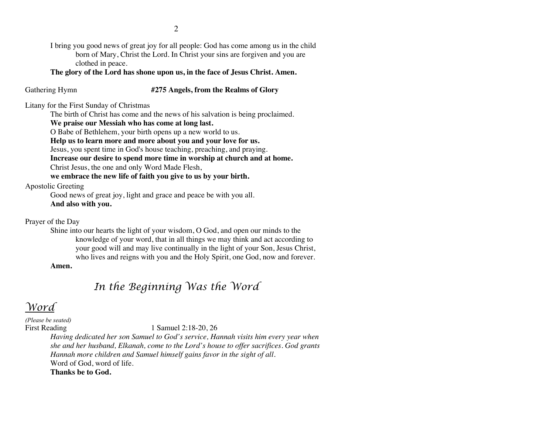I bring you good news of great joy for all people: God has come among us in the child born of Mary, Christ the Lord. In Christ your sins are forgiven and you are clothed in peace.

**The glory of the Lord has shone upon us, in the face of Jesus Christ. Amen.**

## Gathering Hymn **#275 Angels, from the Realms of Glory**

Litany for the First Sunday of Christmas

The birth of Christ has come and the news of his salvation is being proclaimed.

**We praise our Messiah who has come at long last.**

O Babe of Bethlehem, your birth opens up a new world to us.

**Help us to learn more and more about you and your love for us.**

Jesus, you spent time in God's house teaching, preaching, and praying.

**Increase our desire to spend more time in worship at church and at home.** Christ Jesus, the one and only Word Made Flesh,

**we embrace the new life of faith you give to us by your birth.**

Apostolic Greeting

Good news of great joy, light and grace and peace be with you all. **And also with you.**

Prayer of the Day

Shine into our hearts the light of your wisdom, O God, and open our minds to the knowledge of your word, that in all things we may think and act according to your good will and may live continually in the light of your Son, Jesus Christ, who lives and reigns with you and the Holy Spirit, one God, now and forever.

**Amen.**

# *In the Beginning Was the Word*

# *Word*

*(Please be seated)*

First Reading 1 Samuel 2:18-20, 26

*Having dedicated her son Samuel to God's service, Hannah visits him every year when she and her husband, Elkanah, come to the Lord's house to offer sacrifices. God grants Hannah more children and Samuel himself gains favor in the sight of all.* Word of God, word of life.

**Thanks be to God.**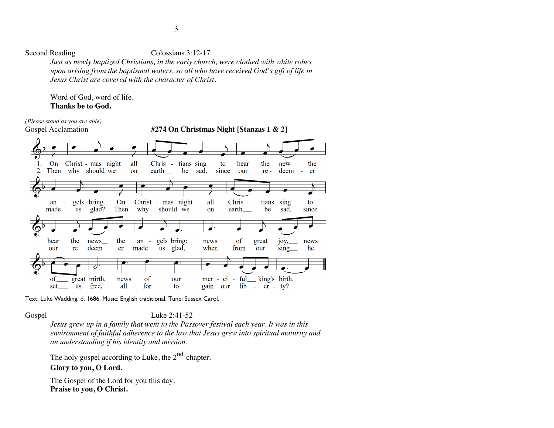Second Reading Colossians 3:12-17

*Just as newly baptized Christians, in the early church, were clothed with white robes upon arising from the baptismal waters, so all who have received God's gift of life in Jesus Christ are covered with the character of Christ.*

Word of God, word of life. **Thanks be to God.**



Text: Luke Wadding, d. 1686. Music: English traditional. Tune: Sussex Carol.

Gospel Luke 2:41-52

*Jesus grew up in a family that went to the Passover festival each year. It was in this environment of faithful adherence to the law that Jesus grew into spiritual maturity and an understanding if his identity and mission.*

The holy gospel according to Luke, the  $2<sup>nd</sup>$  chapter.

### **Glory to you, O Lord.**

The Gospel of the Lord for you this day. **Praise to you, O Christ.**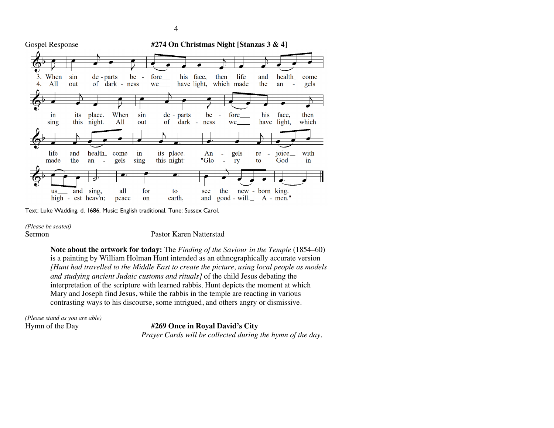

Text: Luke Wadding, d. 1686. Music: English traditional. Tune: Sussex Carol.

*(Please be seated)*

Sermon Pastor Karen Natterstad

**Note about the artwork for today:** The *Finding of the Saviour in the Temple* (1854–60) is a painting by William Holman Hunt intended as an ethnographically accurate version *[Hunt had travelled to the Middle East to create the picture, using local people as models and studying ancient Judaic customs and rituals]* of the child Jesus debating the interpretation of the scripture with learned rabbis. Hunt depicts the moment at which Mary and Joseph find Jesus, while the rabbis in the temple are reacting in various contrasting ways to his discourse, some intrigued, and others angry or dismissive.

*(Please stand as you are able)*

#### Hymn of the Day **#269 Once in Royal David's City**

 *Prayer Cards will be collected during the hymn of the day.*

4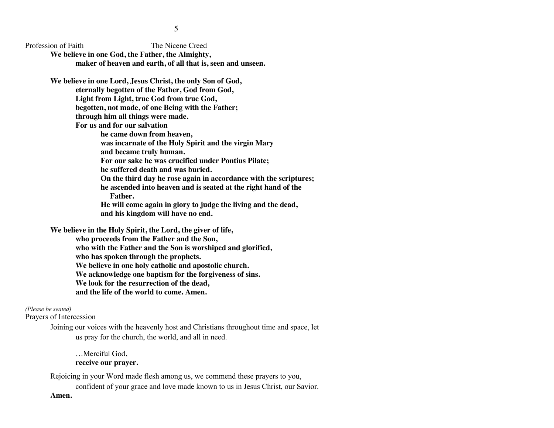Profession of Faith The Nicene Creed

**We believe in one God, the Father, the Almighty, maker of heaven and earth, of all that is, seen and unseen.**

**We believe in one Lord, Jesus Christ, the only Son of God, eternally begotten of the Father, God from God, Light from Light, true God from true God, begotten, not made, of one Being with the Father; through him all things were made.**

**For us and for our salvation** 

**he came down from heaven,** 

**was incarnate of the Holy Spirit and the virgin Mary**

**and became truly human.** 

**For our sake he was crucified under Pontius Pilate;** 

**he suffered death and was buried.** 

**On the third day he rose again in accordance with the scriptures;** 

**he ascended into heaven and is seated at the right hand of the Father.** 

**He will come again in glory to judge the living and the dead, and his kingdom will have no end.**

**We believe in the Holy Spirit, the Lord, the giver of life, who proceeds from the Father and the Son, who with the Father and the Son is worshiped and glorified, who has spoken through the prophets. We believe in one holy catholic and apostolic church. We acknowledge one baptism for the forgiveness of sins. We look for the resurrection of the dead, and the life of the world to come. Amen.**

#### *(Please be seated)*

Prayers of Intercession

Joining our voices with the heavenly host and Christians throughout time and space, let us pray for the church, the world, and all in need.

…Merciful God, **receive our prayer.**

Rejoicing in your Word made flesh among us, we commend these prayers to you, confident of your grace and love made known to us in Jesus Christ, our Savior. **Amen.**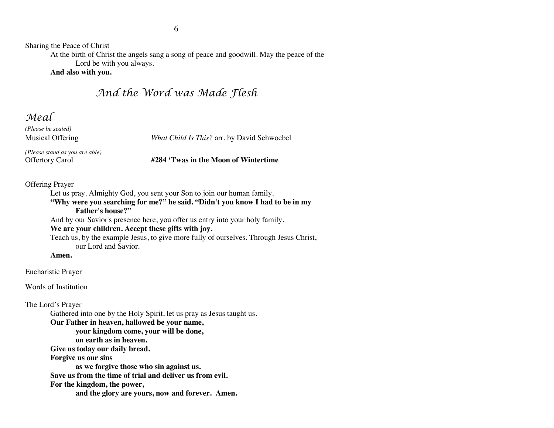Sharing the Peace of Christ

At the birth of Christ the angels sang a song of peace and goodwill. May the peace of the Lord be with you always.

#### **And also with you.**

# *And the Word was Made Flesh*

# *Meal*

*(Please be seated)*

*(Please stand as you are able)*

Musical Offering *What Child Is This?* arr. by David Schwoebel

#### Offertory Carol **#284 'Twas in the Moon of Wintertime**

#### Offering Prayer

Let us pray. Almighty God, you sent your Son to join our human family.

**"Why were you searching for me?" he said. "Didn't you know I had to be in my Father's house?"**

And by our Savior's presence here, you offer us entry into your holy family.

#### **We are your children. Accept these gifts with joy.**

Teach us, by the example Jesus, to give more fully of ourselves. Through Jesus Christ, our Lord and Savior.

**Amen.**

Eucharistic Prayer

Words of Institution

#### The Lord's Prayer

Gathered into one by the Holy Spirit, let us pray as Jesus taught us.

**Our Father in heaven, hallowed be your name,** 

**your kingdom come, your will be done,** 

**on earth as in heaven.**

**Give us today our daily bread.** 

**Forgive us our sins** 

**as we forgive those who sin against us.** 

**Save us from the time of trial and deliver us from evil.**

**For the kingdom, the power,** 

**and the glory are yours, now and forever. Amen.**